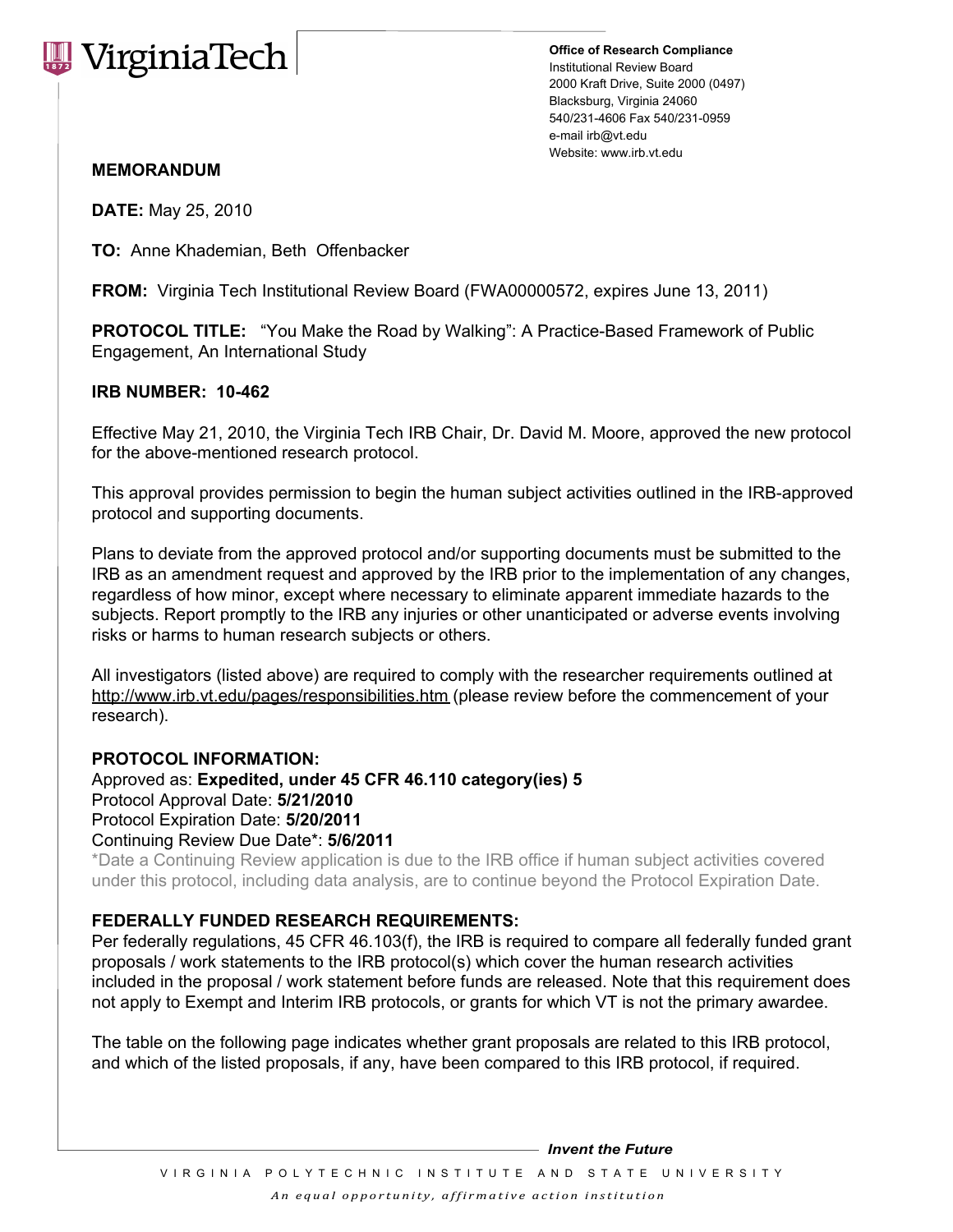

**Office of Research Compliance** Institutional Review Board 2000 Kraft Drive, Suite 2000 (0497) Blacksburg, Virginia 24060 540/231-4606 Fax 540/231-0959 e-mail irb@vt.edu Website: www.irb.vt.edu

## **MEMORANDUM**

**DATE:** May 25, 2010

**TO:** Anne Khademian, Beth Offenbacker

**FROM:** Virginia Tech Institutional Review Board (FWA00000572, expires June 13, 2011)

**PROTOCOL TITLE:** "You Make the Road by Walking": A Practice-Based Framework of Public Engagement, An International Study

## **IRB NUMBER: 10-462**

Effective May 21, 2010, the Virginia Tech IRB Chair, Dr. David M. Moore, approved the new protocol for the above-mentioned research protocol.

This approval provides permission to begin the human subject activities outlined in the IRB-approved protocol and supporting documents.

Plans to deviate from the approved protocol and/or supporting documents must be submitted to the IRB as an amendment request and approved by the IRB prior to the implementation of any changes, regardless of how minor, except where necessary to eliminate apparent immediate hazards to the subjects. Report promptly to the IRB any injuries or other unanticipated or adverse events involving risks or harms to human research subjects or others.

All investigators (listed above) are required to comply with the researcher requirements outlined at http://www.irb.vt.edu/pages/responsibilities.htm (please review before the commencement of your research).

## **PROTOCOL INFORMATION:**

Approved as: **Expedited, under 45 CFR 46.110 category(ies) 5** Protocol Approval Date: **5/21/2010**  Protocol Expiration Date: **5/20/2011** Continuing Review Due Date\*: **5/6/2011**

\*Date a Continuing Review application is due to the IRB office if human subject activities covered under this protocol, including data analysis, are to continue beyond the Protocol Expiration Date.

## **FEDERALLY FUNDED RESEARCH REQUIREMENTS:**

Per federally regulations, 45 CFR 46.103(f), the IRB is required to compare all federally funded grant proposals / work statements to the IRB protocol(s) which cover the human research activities included in the proposal / work statement before funds are released. Note that this requirement does not apply to Exempt and Interim IRB protocols, or grants for which VT is not the primary awardee.

The table on the following page indicates whether grant proposals are related to this IRB protocol, and which of the listed proposals, if any, have been compared to this IRB protocol, if required.

*Invent the Future*